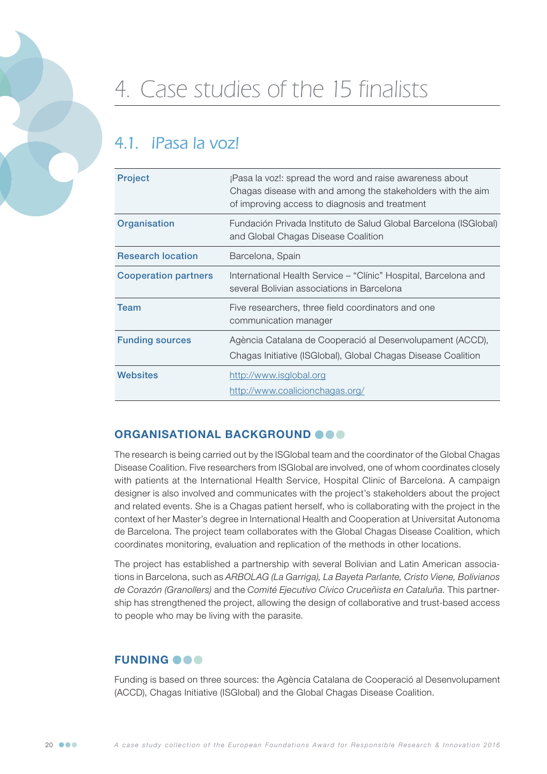

# 4. Case studies of the 15 finalists

## 4.1. **iPasa la voz!**

| <b>Project</b>              | ¡Pasa la voz!: spread the word and raise awareness about<br>Chagas disease with and among the stakeholders with the aim<br>of improving access to diagnosis and treatment |
|-----------------------------|---------------------------------------------------------------------------------------------------------------------------------------------------------------------------|
| Organisation                | Fundación Privada Instituto de Salud Global Barcelona (ISGlobal)<br>and Global Chagas Disease Coalition                                                                   |
| <b>Research location</b>    | Barcelona, Spain                                                                                                                                                          |
| <b>Cooperation partners</b> | International Health Service – "Clínic" Hospital, Barcelona and<br>several Bolivian associations in Barcelona                                                             |
| Team                        | Five researchers, three field coordinators and one<br>communication manager                                                                                               |
| <b>Funding sources</b>      | Agència Catalana de Cooperació al Desenvolupament (ACCD),<br>Chagas Initiative (ISGIobal), Global Chagas Disease Coalition                                                |
| <b>Websites</b>             | http://www.isglobal.org<br>http://www.coalicionchagas.org/                                                                                                                |

#### ORGANISATIONAL BACKGROUND **@@@**

The research is being carried out by the ISGlobal team and the coordinator of the Global Chagas Disease Coalition. Five researchers from ISGlobal are involved, one of whom coordinates closely with patients at the International Health Service, Hospital Clinic of Barcelona. A campaign designer is also involved and communicates with the project's stakeholders about the project and related events. She is a Chagas patient herself, who is collaborating with the project in the context of her Master's degree in International Health and Cooperation at Universitat Autonoma de Barcelona. The project team collaborates with the Global Chagas Disease Coalition, which coordinates monitoring, evaluation and replication of the methods in other locations.

The project has established a partnership with several Bolivian and Latin American associations in Barcelona, such as *ARBOLAG (La Garriga), La Bayeta Parlante, Cristo Viene, Bolivianos de Corazón (Granollers)* and the *Comité Ejecutivo Cívico Cruceñista en Cataluña*. This partnership has strengthened the project, allowing the design of collaborative and trust-based access to people who may be living with the parasite.

### **FUNDING OOO**

Funding is based on three sources: the Agència Catalana de Cooperació al Desenvolupament (ACCD), Chagas Initiative (ISGlobal) and the Global Chagas Disease Coalition.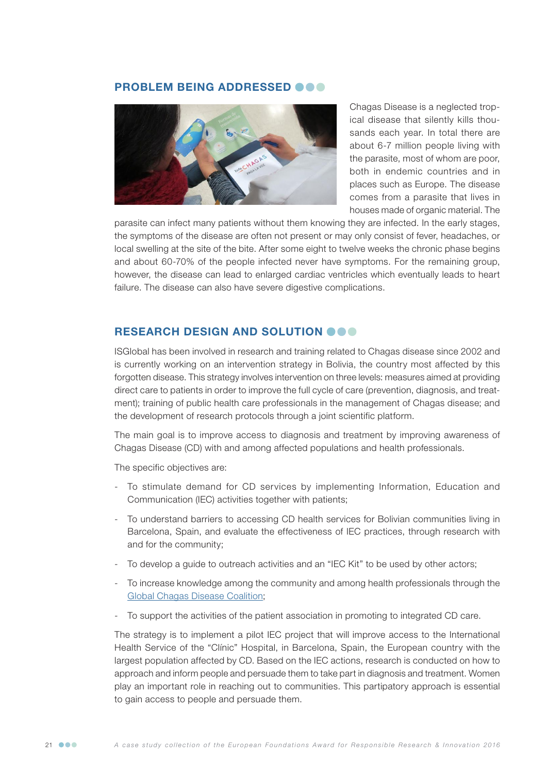#### PROBLEM BEING ADDRESSED @@@



Chagas Disease is a neglected tropical disease that silently kills thousands each year. In total there are about 6-7 million people living with the parasite, most of whom are poor, both in endemic countries and in places such as Europe. The disease comes from a parasite that lives in houses made of organic material. The

parasite can infect many patients without them knowing they are infected. In the early stages, the symptoms of the disease are often not present or may only consist of fever, headaches, or local swelling at the site of the bite. After some eight to twelve weeks the chronic phase begins and about 60-70% of the people infected never have symptoms. For the remaining group, however, the disease can lead to enlarged cardiac ventricles which eventually leads to heart failure. The disease can also have severe digestive complications.

#### RESEARCH DESIGN AND SOLUTION OOO

ISGlobal has been involved in research and training related to Chagas disease since 2002 and is currently working on an intervention strategy in Bolivia, the country most affected by this forgotten disease. This strategy involves intervention on three levels: measures aimed at providing direct care to patients in order to improve the full cycle of care (prevention, diagnosis, and treatment); training of public health care professionals in the management of Chagas disease; and the development of research protocols through a joint scientific platform.

The main goal is to improve access to diagnosis and treatment by improving awareness of Chagas Disease (CD) with and among affected populations and health professionals.

The specific objectives are:

- To stimulate demand for CD services by implementing Information, Education and Communication (IEC) activities together with patients;
- To understand barriers to accessing CD health services for Bolivian communities living in Barcelona, Spain, and evaluate the effectiveness of IEC practices, through research with and for the community;
- To develop a guide to outreach activities and an "IEC Kit" to be used by other actors;
- To increase knowledge among the community and among health professionals through the [Global Chagas Disease Coalition](http://www.coalicionchagas.org);
- To support the activities of the patient association in promoting to integrated CD care.

The strategy is to implement a pilot IEC project that will improve access to the International Health Service of the "Clínic" Hospital, in Barcelona, Spain, the European country with the largest population affected by CD. Based on the IEC actions, research is conducted on how to approach and inform people and persuade them to take part in diagnosis and treatment. Women play an important role in reaching out to communities. This partipatory approach is essential to gain access to people and persuade them.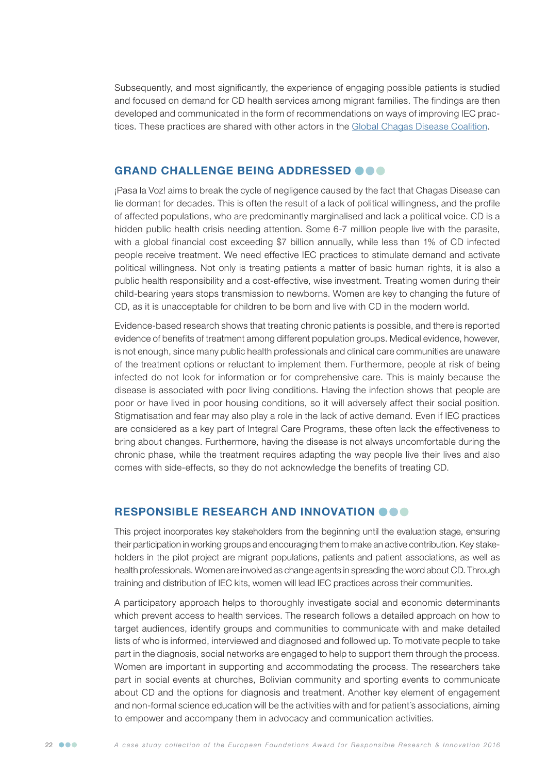Subsequently, and most significantly, the experience of engaging possible patients is studied and focused on demand for CD health services among migrant families. The findings are then developed and communicated in the form of recommendations on ways of improving IEC practices. These practices are shared with other actors in the [Global Chagas Disease Coalition.](http://www.coalicionchagas.org)

#### GRAND CHALLENGE BEING ADDRESSED **OOO**

¡Pasa la Voz! aims to break the cycle of negligence caused by the fact that Chagas Disease can lie dormant for decades. This is often the result of a lack of political willingness, and the profile of affected populations, who are predominantly marginalised and lack a political voice. CD is a hidden public health crisis needing attention. Some 6-7 million people live with the parasite, with a global financial cost exceeding \$7 billion annually, while less than 1% of CD infected people receive treatment. We need effective IEC practices to stimulate demand and activate political willingness. Not only is treating patients a matter of basic human rights, it is also a public health responsibility and a cost-effective, wise investment. Treating women during their child-bearing years stops transmission to newborns. Women are key to changing the future of CD, as it is unacceptable for children to be born and live with CD in the modern world.

Evidence-based research shows that treating chronic patients is possible, and there is reported evidence of benefits of treatment among different population groups. Medical evidence, however, is not enough, since many public health professionals and clinical care communities are unaware of the treatment options or reluctant to implement them. Furthermore, people at risk of being infected do not look for information or for comprehensive care. This is mainly because the disease is associated with poor living conditions. Having the infection shows that people are poor or have lived in poor housing conditions, so it will adversely affect their social position. Stigmatisation and fear may also play a role in the lack of active demand. Even if IEC practices are considered as a key part of Integral Care Programs, these often lack the effectiveness to bring about changes. Furthermore, having the disease is not always uncomfortable during the chronic phase, while the treatment requires adapting the way people live their lives and also comes with side-effects, so they do not acknowledge the benefits of treating CD.

#### RESPONSIBLE RESEARCH AND INNOVATION OOO

This project incorporates key stakeholders from the beginning until the evaluation stage, ensuring their participation in working groups and encouraging them to make an active contribution. Key stakeholders in the pilot project are migrant populations, patients and patient associations, as well as health professionals. Women are involved as change agents in spreading the word about CD. Through training and distribution of IEC kits, women will lead IEC practices across their communities.

A participatory approach helps to thoroughly investigate social and economic determinants which prevent access to health services. The research follows a detailed approach on how to target audiences, identify groups and communities to communicate with and make detailed lists of who is informed, interviewed and diagnosed and followed up. To motivate people to take part in the diagnosis, social networks are engaged to help to support them through the process. Women are important in supporting and accommodating the process. The researchers take part in social events at churches, Bolivian community and sporting events to communicate about CD and the options for diagnosis and treatment. Another key element of engagement and non-formal science education will be the activities with and for patient´s associations, aiming to empower and accompany them in advocacy and communication activities.